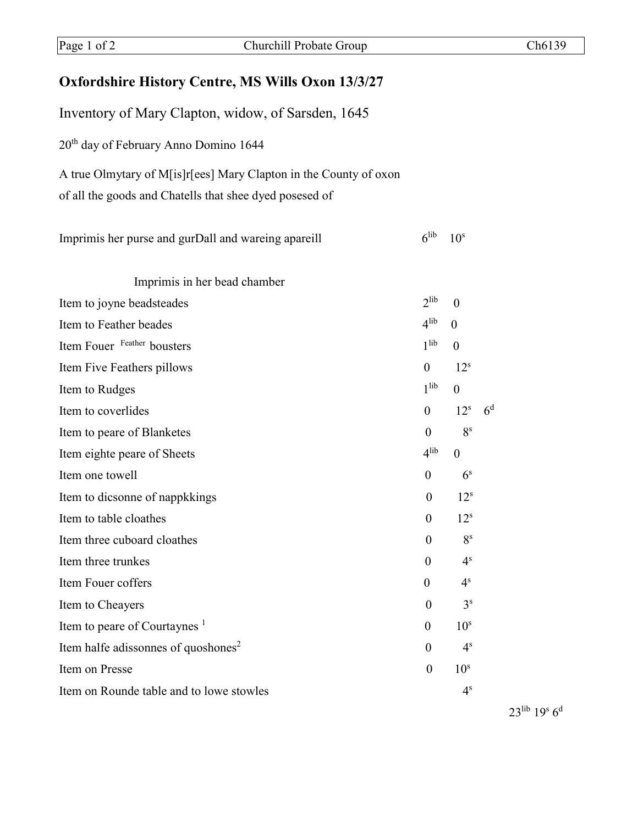## **Oxfordshire History Centre, MS Wills Oxon 13/3/27**

Inventory of Mary Clapton, widow, of Sarsden, 1645 20th day of February Anno Domino 1644 A true Olmytary of M[is]r[ees] Mary Clapton in the County of oxon of all the goods and Chatells that shee dyed posesed of Imprimis her purse and gurDall and wareing apareill  $6^{\text{lib}}$   $10^{\text{s}}$ 

| Item to joyne beadsteades<br>Item to Feather beades<br>Item Fouer Feather bousters<br>Item Five Feathers pillows | $2$ lib                            |                 |                |
|------------------------------------------------------------------------------------------------------------------|------------------------------------|-----------------|----------------|
|                                                                                                                  |                                    | $\theta$        |                |
|                                                                                                                  | 4 <sup>lib</sup><br>$\overline{0}$ |                 |                |
|                                                                                                                  | 1 <sup>lib</sup>                   | $\mathbf{0}$    |                |
|                                                                                                                  | $\overline{0}$                     | 12 <sup>s</sup> |                |
| Item to Rudges                                                                                                   | 1 <sup>lib</sup>                   | $\theta$        |                |
| Item to coverlides                                                                                               | $\theta$                           | 12 <sup>s</sup> | 6 <sup>d</sup> |
| Item to peare of Blanketes                                                                                       | $\overline{0}$                     | 8 <sup>s</sup>  |                |
| Item eighte peare of Sheets                                                                                      | 4 <sup>lib</sup>                   | $\theta$        |                |
| Item one towell                                                                                                  | $\theta$                           | 6 <sup>s</sup>  |                |
| Item to dicsonne of nappkkings                                                                                   | $\theta$                           | 12 <sup>s</sup> |                |
| Item to table cloathes                                                                                           | $\theta$                           | $12^s$          |                |
| Item three cuboard cloathes                                                                                      | $\boldsymbol{0}$                   | 8 <sup>s</sup>  |                |
| Item three trunkes                                                                                               | $\theta$                           | 4 <sup>s</sup>  |                |
| Item Fouer coffers                                                                                               | $\overline{0}$                     | 4 <sup>s</sup>  |                |
| Item to Cheayers                                                                                                 | $\boldsymbol{0}$                   | 3 <sup>s</sup>  |                |
| Item to peare of Courtaynes <sup>1</sup>                                                                         | $\overline{0}$                     | 10 <sup>s</sup> |                |
| Item halfe adissonnes of quoshones <sup>2</sup>                                                                  | $\theta$                           | 4 <sup>s</sup>  |                |
| Item on Presse                                                                                                   | $\theta$                           | 10 <sup>s</sup> |                |
| Item on Rounde table and to lowe stowles                                                                         |                                    | 4 <sup>s</sup>  |                |

23lib 19s 6d